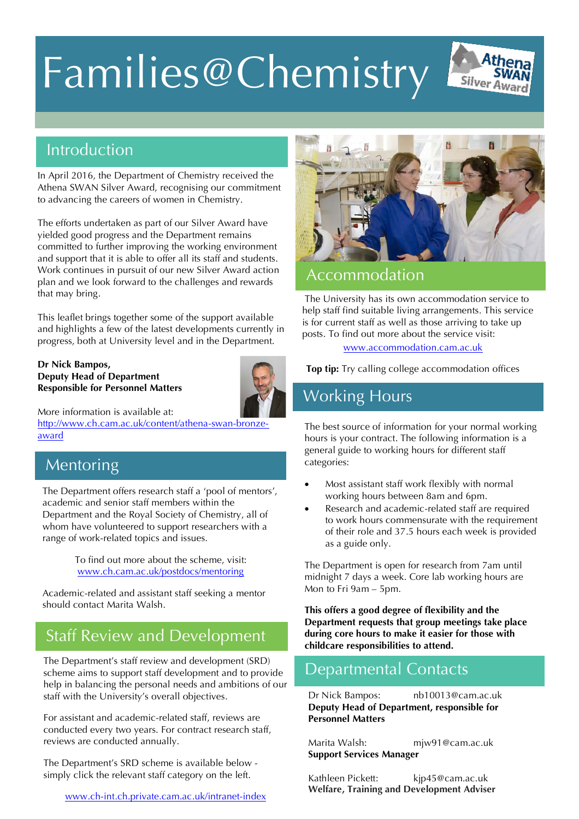# Families@Chemistry



In April 2016, the Department of Chemistry received the Athena SWAN Silver Award, recognising our commitment to advancing the careers of women in Chemistry.

The efforts undertaken as part of our Silver Award have yielded good progress and the Department remains committed to further improving the working environment and support that it is able to offer all its staff and students. Work continues in pursuit of our new Silver Award action plan and we look forward to the challenges and rewards that may bring.

This leaflet brings together some of the support available and highlights a few of the latest developments currently in progress, both at University level and in the Department.

#### **Dr Nick Bampos, Deputy Head of Department Responsible for Personnel Matters**



More information is available at:

http://www.ch.cam.ac.uk/content/athena-swan-bronzeaward

## Mentoring

The Department offers research staff a 'pool of mentors', academic and senior staff members within the Department and the Royal Society of Chemistry, all of whom have volunteered to support researchers with a range of work-related topics and issues.

> To find out more about the scheme, visit: www.ch.cam.ac.uk/postdocs/mentoring

Academic-related and assistant staff seeking a mentor should contact Marita Walsh.

## Staff Review and Development

The Department's staff review and development (SRD) scheme aims to support staff development and to provide help in balancing the personal needs and ambitions of our staff with the University's overall objectives.

For assistant and academic-related staff, reviews are conducted every two years. For contract research staff, reviews are conducted annually.

The Department's SRD scheme is available below simply click the relevant staff category on the left.

www.ch-int.ch.private.cam.ac.uk/intranet-index



 $\overline{S}$ ilver

#### Accommodation

The University has its own accommodation service to help staff find suitable living arrangements. This service is for current staff as well as those arriving to take up posts. To find out more about the service visit:

www.accommodation.cam.ac.uk

**Top tip:** Try calling college accommodation offices direct!

## Working Hours

The best source of information for your normal working hours is your contract. The following information is a general guide to working hours for different staff categories:

- Most assistant staff work flexibly with normal working hours between 8am and 6pm.
- Research and academic-related staff are required to work hours commensurate with the requirement of their role and 37.5 hours each week is provided as a guide only.

The Department is open for research from 7am until midnight 7 days a week. Core lab working hours are Mon to Fri 9am – 5pm.

**This offers a good degree of flexibility and the Department requests that group meetings take place during core hours to make it easier for those with childcare responsibilities to attend.** 

### Departmental Contacts

Dr Nick Bampos: nb10013@cam.ac.uk **Deputy Head of Department, responsible for Personnel Matters**

Marita Walsh: mjw91@cam.ac.uk **Support Services Manager**

Kathleen Pickett: kjp45@cam.ac.uk **Welfare, Training and Development Adviser**